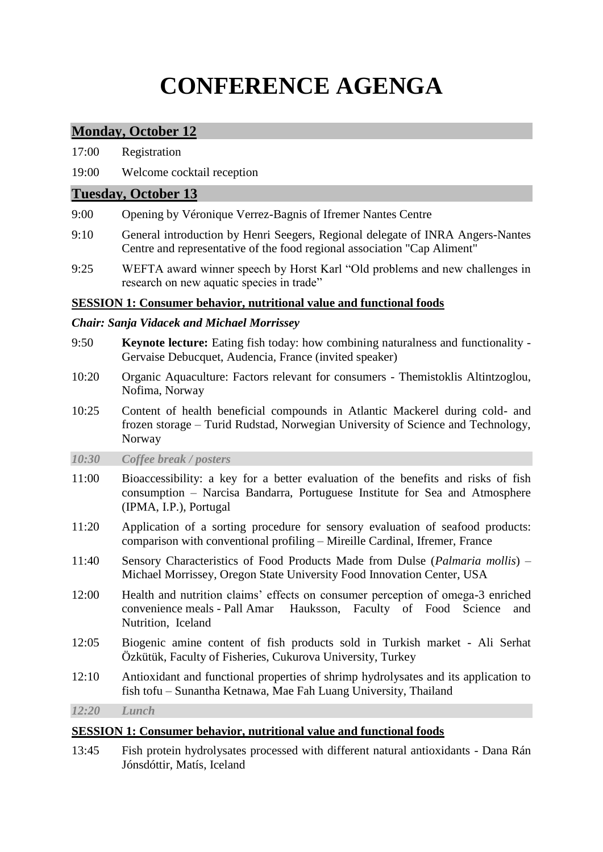# **CONFERENCE AGENGA**

# **Monday, October 12**

| 17:00 | Registration |
|-------|--------------|
|       |              |

19:00 Welcome cocktail reception

## **Tuesday, October 13**

- 9:00 Opening by Véronique Verrez-Bagnis of Ifremer Nantes Centre
- 9:10 General introduction by Henri Seegers, Regional delegate of INRA Angers-Nantes Centre and representative of the food regional association "Cap Aliment"
- 9:25 WEFTA award winner speech by Horst Karl "Old problems and new challenges in research on new aquatic species in trade"

## **SESSION 1: Consumer behavior, nutritional value and functional foods**

#### *Chair: Sanja Vidacek and Michael Morrissey*

- 9:50 **Keynote lecture:** Eating fish today: how combining naturalness and functionality Gervaise Debucquet, Audencia, France (invited speaker)
- 10:20 Organic Aquaculture: Factors relevant for consumers Themistoklis Altintzoglou, Nofima, Norway
- 10:25 Content of health beneficial compounds in Atlantic Mackerel during cold- and frozen storage – Turid Rudstad, Norwegian University of Science and Technology, Norway
- *10:30 Coffee break / posters*
- 11:00 Bioaccessibility: a key for a better evaluation of the benefits and risks of fish consumption – Narcisa Bandarra, Portuguese Institute for Sea and Atmosphere (IPMA, I.P.), Portugal
- 11:20 Application of a sorting procedure for sensory evaluation of seafood products: comparison with conventional profiling – Mireille Cardinal, Ifremer, France
- 11:40 Sensory Characteristics of Food Products Made from Dulse (*Palmaria mollis*) Michael Morrissey, Oregon State University Food Innovation Center, USA
- 12:00 Health and nutrition claims' effects on consumer perception of omega-3 enriched convenience meals - Pall Amar Hauksson, Faculty of Food Science and Nutrition, Iceland
- 12:05 Biogenic amine content of fish products sold in Turkish market Ali Serhat Özkütük, Faculty of Fisheries, Cukurova University, Turkey
- 12:10 Antioxidant and functional properties of shrimp hydrolysates and its application to fish tofu – Sunantha Ketnawa, Mae Fah Luang University, Thailand

*12:20 Lunch*

## **SESSION 1: Consumer behavior, nutritional value and functional foods**

13:45 Fish protein hydrolysates processed with different natural antioxidants - Dana Rán Jónsdóttir, Matís, Iceland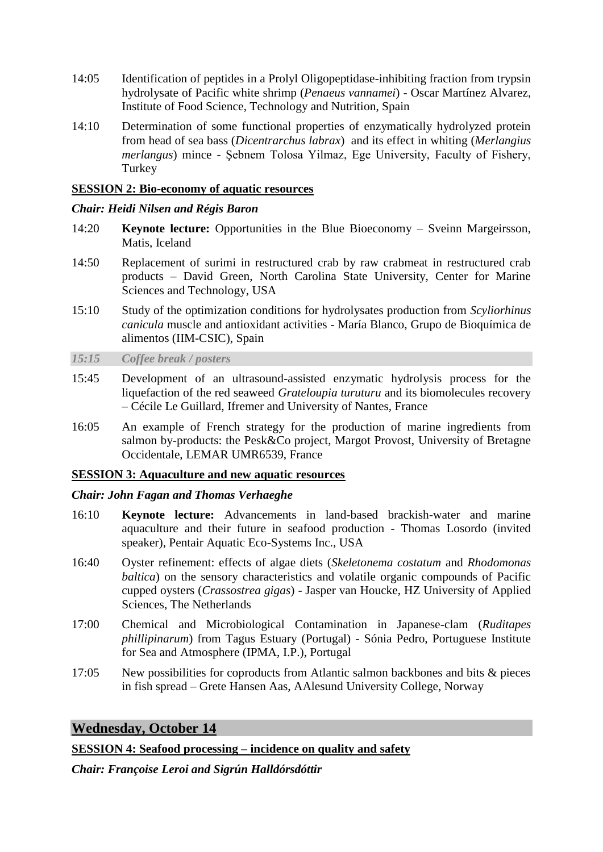- 14:05 Identification of peptides in a Prolyl Oligopeptidase-inhibiting fraction from trypsin hydrolysate of Pacific white shrimp (*Penaeus vannamei*) - Oscar Martínez Alvarez, Institute of Food Science, Technology and Nutrition, Spain
- 14:10 Determination of some functional properties of enzymatically hydrolyzed protein from head of sea bass (*Dicentrarchus labrax*) and its effect in whiting (*Merlangius merlangus*) mince - Şebnem Tolosa Yilmaz, Ege University, Faculty of Fishery, **Turkey**

#### **SESSION 2: Bio-economy of aquatic resources**

#### *Chair: Heidi Nilsen and Régis Baron*

- 14:20 **Keynote lecture:** Opportunities in the Blue Bioeconomy Sveinn Margeirsson, Matis, Iceland
- 14:50 Replacement of surimi in restructured crab by raw crabmeat in restructured crab products – David Green, North Carolina State University, Center for Marine Sciences and Technology, USA
- 15:10 Study of the optimization conditions for hydrolysates production from *Scyliorhinus canicula* muscle and antioxidant activities - María Blanco, Grupo de Bioquímica de alimentos (IIM-CSIC), Spain

*15:15 Coffee break / posters*

- 15:45 Development of an ultrasound-assisted enzymatic hydrolysis process for the liquefaction of the red seaweed *Grateloupia turuturu* and its biomolecules recovery – Cécile Le Guillard, Ifremer and University of Nantes, France
- 16:05 An example of French strategy for the production of marine ingredients from salmon by-products: the Pesk&Co project, Margot Provost, University of Bretagne Occidentale, LEMAR UMR6539, France

#### **SESSION 3: Aquaculture and new aquatic resources**

#### *Chair: John Fagan and Thomas Verhaeghe*

- 16:10 **Keynote lecture:** Advancements in land-based brackish-water and marine aquaculture and their future in seafood production - Thomas Losordo (invited speaker), Pentair Aquatic Eco-Systems Inc., USA
- 16:40 Oyster refinement: effects of algae diets (*Skeletonema costatum* and *Rhodomonas baltica*) on the sensory characteristics and volatile organic compounds of Pacific cupped oysters (*Crassostrea gigas*) - Jasper van Houcke, HZ University of Applied Sciences, The Netherlands
- 17:00 Chemical and Microbiological Contamination in Japanese-clam (*Ruditapes phillipinarum*) from Tagus Estuary (Portugal) - Sónia Pedro, Portuguese Institute for Sea and Atmosphere (IPMA, I.P.), Portugal
- 17:05 New possibilities for coproducts from Atlantic salmon backbones and bits & pieces in fish spread – Grete Hansen Aas, AAlesund University College, Norway

## **Wednesday, October 14**

#### **SESSION 4: Seafood processing – incidence on quality and safety**

*Chair: Françoise Leroi and Sigrún Halldórsdóttir*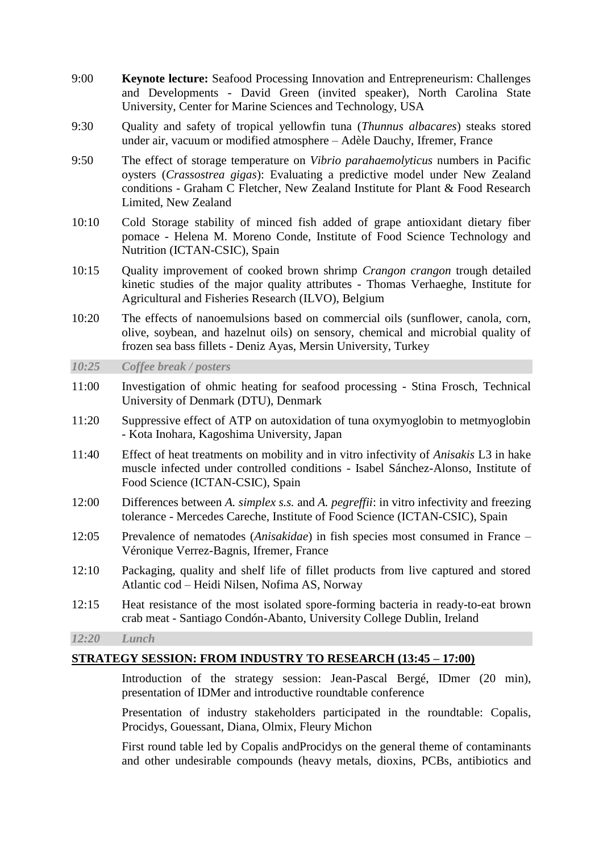- 9:00 **Keynote lecture:** Seafood Processing Innovation and Entrepreneurism: Challenges and Developments - David Green (invited speaker), North Carolina State University, Center for Marine Sciences and Technology, USA
- 9:30 Quality and safety of tropical yellowfin tuna (*Thunnus albacares*) steaks stored under air, vacuum or modified atmosphere – Adèle Dauchy, Ifremer, France
- 9:50 The effect of storage temperature on *Vibrio parahaemolyticus* numbers in Pacific oysters (*Crassostrea gigas*): Evaluating a predictive model under New Zealand conditions - Graham C Fletcher, New Zealand Institute for Plant & Food Research Limited, New Zealand
- 10:10 Cold Storage stability of minced fish added of grape antioxidant dietary fiber pomace - Helena M. Moreno Conde, Institute of Food Science Technology and Nutrition (ICTAN-CSIC), Spain
- 10:15 Quality improvement of cooked brown shrimp *Crangon crangon* trough detailed kinetic studies of the major quality attributes - Thomas Verhaeghe, Institute for Agricultural and Fisheries Research (ILVO), Belgium
- 10:20 The effects of nanoemulsions based on commercial oils (sunflower, canola, corn, olive, soybean, and hazelnut oils) on sensory, chemical and microbial quality of frozen sea bass fillets - Deniz Ayas, Mersin University, Turkey

#### *10:25 Coffee break / posters*

- 11:00 Investigation of ohmic heating for seafood processing Stina Frosch, Technical University of Denmark (DTU), Denmark
- 11:20 Suppressive effect of ATP on autoxidation of tuna oxymyoglobin to metmyoglobin - Kota Inohara, Kagoshima University, Japan
- 11:40 Effect of heat treatments on mobility and in vitro infectivity of *Anisakis* L3 in hake muscle infected under controlled conditions - Isabel Sánchez-Alonso, Institute of Food Science (ICTAN-CSIC), Spain
- 12:00 Differences between *A. simplex s.s.* and *A. pegreffii*: in vitro infectivity and freezing tolerance - Mercedes Careche, Institute of Food Science (ICTAN-CSIC), Spain
- 12:05 Prevalence of nematodes (*Anisakidae*) in fish species most consumed in France Véronique Verrez-Bagnis, Ifremer, France
- 12:10 Packaging, quality and shelf life of fillet products from live captured and stored Atlantic cod – Heidi Nilsen, Nofima AS, Norway
- 12:15 Heat resistance of the most isolated spore-forming bacteria in ready-to-eat brown crab meat - Santiago Condón-Abanto, University College Dublin, Ireland

*12:20 Lunch*

#### **STRATEGY SESSION: FROM INDUSTRY TO RESEARCH (13:45 – 17:00)**

Introduction of the strategy session: Jean-Pascal Bergé, IDmer (20 min), presentation of IDMer and introductive roundtable conference

Presentation of industry stakeholders participated in the roundtable: Copalis, Procidys, Gouessant, Diana, Olmix, Fleury Michon

First round table led by Copalis andProcidys on the general theme of contaminants and other undesirable compounds (heavy metals, dioxins, PCBs, antibiotics and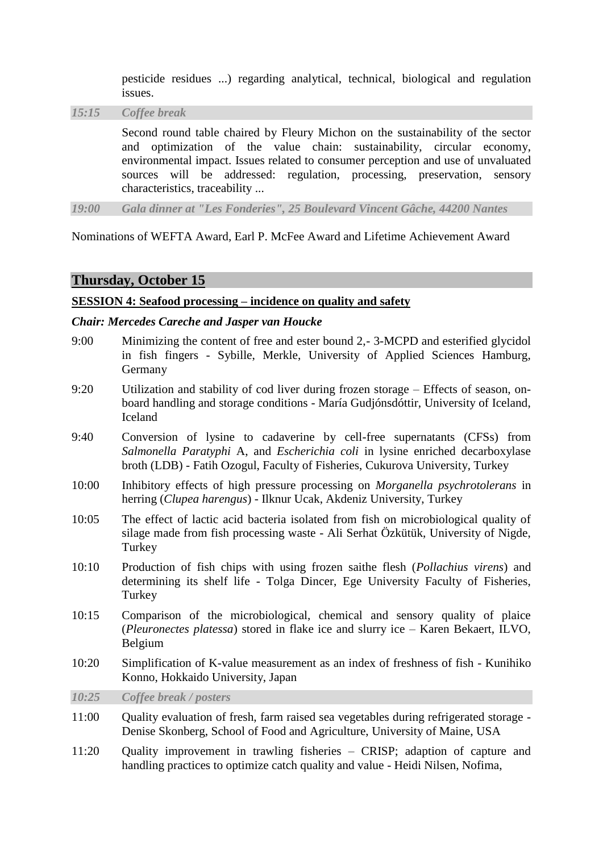pesticide residues ...) regarding analytical, technical, biological and regulation issues.

*15:15 Coffee break*

Second round table chaired by Fleury Michon on the sustainability of the sector and optimization of the value chain: sustainability, circular economy, environmental impact. Issues related to consumer perception and use of unvaluated sources will be addressed: regulation, processing, preservation, sensory characteristics, traceability ...

*19:00 Gala dinner at "Les Fonderies", 25 Boulevard Vincent Gâche, 44200 Nantes*

Nominations of WEFTA Award, Earl P. McFee Award and Lifetime Achievement Award

## **Thursday, October 15**

#### **SESSION 4: Seafood processing – incidence on quality and safety**

#### *Chair: Mercedes Careche and Jasper van Houcke*

- 9:00 Minimizing the content of free and ester bound 2,- 3-MCPD and esterified glycidol in fish fingers - Sybille, Merkle, University of Applied Sciences Hamburg, Germany
- 9:20 Utilization and stability of cod liver during frozen storage Effects of season, onboard handling and storage conditions - María Gudjónsdóttir, University of Iceland, Iceland
- 9:40 Conversion of lysine to cadaverine by cell-free supernatants (CFSs) from *Salmonella Paratyphi* A, and *Escherichia coli* in lysine enriched decarboxylase broth (LDB) - Fatih Ozogul, Faculty of Fisheries, Cukurova University, Turkey
- 10:00 Inhibitory effects of high pressure processing on *Morganella psychrotolerans* in herring (*Clupea harengus*) - Ilknur Ucak, Akdeniz University, Turkey
- 10:05 The effect of lactic acid bacteria isolated from fish on microbiological quality of silage made from fish processing waste - Ali Serhat Özkütük, University of Nigde, Turkey
- 10:10 Production of fish chips with using frozen saithe flesh (*Pollachius virens*) and determining its shelf life - Tolga Dincer, Ege University Faculty of Fisheries, **Turkey**
- 10:15 Comparison of the microbiological, chemical and sensory quality of plaice (*Pleuronectes platessa*) stored in flake ice and slurry ice – Karen Bekaert, ILVO, Belgium
- 10:20 Simplification of K-value measurement as an index of freshness of fish Kunihiko Konno, Hokkaido University, Japan

*10:25 Coffee break / posters*

- 11:00 Quality evaluation of fresh, farm raised sea vegetables during refrigerated storage Denise Skonberg, School of Food and Agriculture, University of Maine, USA
- 11:20 Quality improvement in trawling fisheries CRISP; adaption of capture and handling practices to optimize catch quality and value - Heidi Nilsen, Nofima,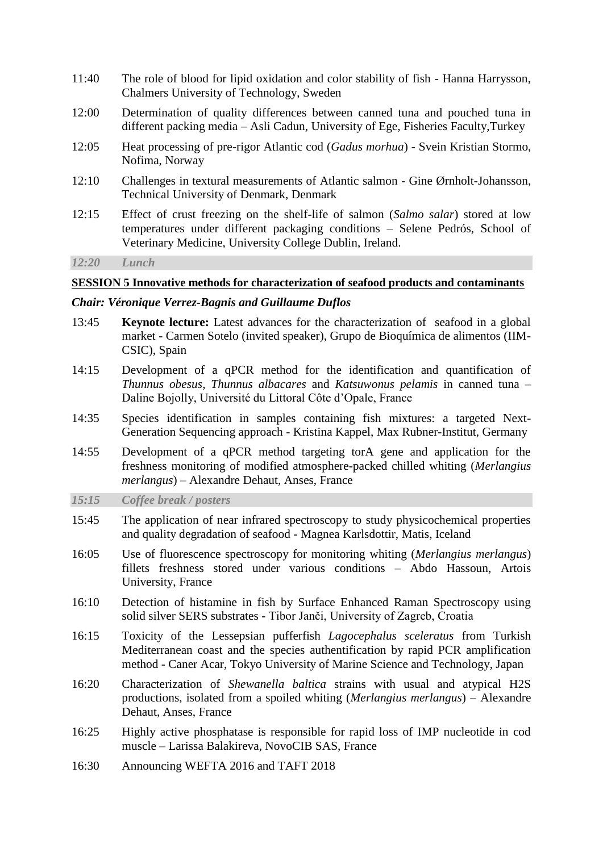- 11:40 The role of blood for lipid oxidation and color stability of fish Hanna Harrysson, Chalmers University of Technology, Sweden
- 12:00 Determination of quality differences between canned tuna and pouched tuna in different packing media – Asli Cadun, University of Ege, Fisheries Faculty,Turkey
- 12:05 Heat processing of pre-rigor Atlantic cod (*Gadus morhua*) Svein Kristian Stormo, Nofima, Norway
- 12:10 Challenges in textural measurements of Atlantic salmon Gine Ørnholt-Johansson, Technical University of Denmark, Denmark
- 12:15 Effect of crust freezing on the shelf-life of salmon (*Salmo salar*) stored at low temperatures under different packaging conditions – Selene Pedrós, School of Veterinary Medicine, University College Dublin, Ireland.

*12:20 Lunch*

#### **SESSION 5 Innovative methods for characterization of seafood products and contaminants**

#### *Chair: Véronique Verrez-Bagnis and Guillaume Duflos*

- 13:45 **Keynote lecture:** Latest advances for the characterization of seafood in a global market - Carmen Sotelo (invited speaker), Grupo de Bioquímica de alimentos (IIM-CSIC), Spain
- 14:15 Development of a qPCR method for the identification and quantification of *Thunnus obesus*, *Thunnus albacares* and *Katsuwonus pelamis* in canned tuna – Daline Bojolly, Université du Littoral Côte d'Opale, France
- 14:35 Species identification in samples containing fish mixtures: a targeted Next-Generation Sequencing approach - Kristina Kappel, Max Rubner-Institut, Germany
- 14:55 Development of a qPCR method targeting torA gene and application for the freshness monitoring of modified atmosphere-packed chilled whiting (*Merlangius merlangus*) – Alexandre Dehaut, Anses, France
- *15:15 Coffee break / posters*
- 15:45 The application of near infrared spectroscopy to study physicochemical properties and quality degradation of seafood - Magnea Karlsdottir, Matis, Iceland
- 16:05 Use of fluorescence spectroscopy for monitoring whiting (*Merlangius merlangus*) fillets freshness stored under various conditions – Abdo Hassoun, Artois University, France
- 16:10 Detection of histamine in fish by Surface Enhanced Raman Spectroscopy using solid silver SERS substrates - Tibor Janči, University of Zagreb, Croatia
- 16:15 Toxicity of the Lessepsian pufferfish *Lagocephalus sceleratus* from Turkish Mediterranean coast and the species authentification by rapid PCR amplification method - Caner Acar, Tokyo University of Marine Science and Technology, Japan
- 16:20 Characterization of *Shewanella baltica* strains with usual and atypical H2S productions, isolated from a spoiled whiting (*Merlangius merlangus*) – Alexandre Dehaut, Anses, France
- 16:25 Highly active phosphatase is responsible for rapid loss of IMP nucleotide in cod muscle – Larissa Balakireva, NovoCIB SAS, France
- 16:30 Announcing WEFTA 2016 and TAFT 2018